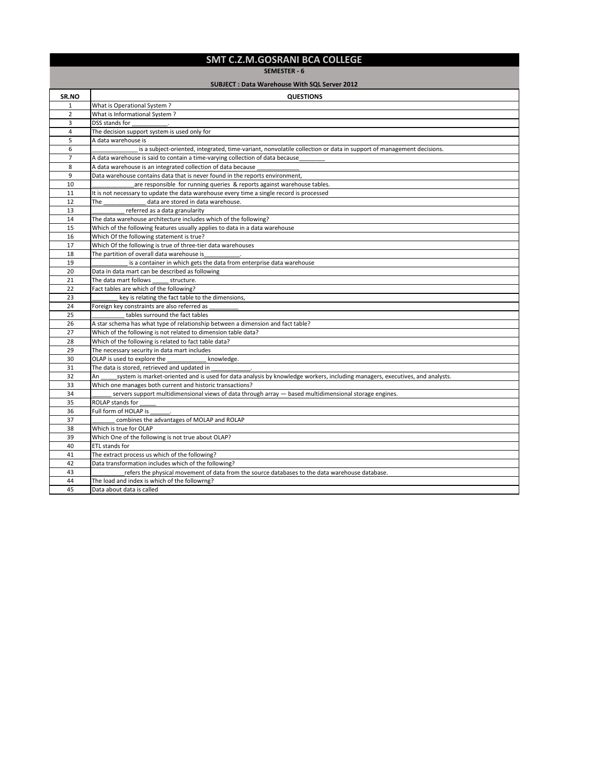## **SMT C.Z.M.GOSRANI BCA COLLEGE**

**SEMESTER - 6**

## **SUBJECT : Data Warehouse With SQL Server 2012**

| SR.NO          | <b>QUESTIONS</b>                                                                                                                  |
|----------------|-----------------------------------------------------------------------------------------------------------------------------------|
| $\mathbf{1}$   | What is Operational System?                                                                                                       |
| $\overline{2}$ | What is Informational System?                                                                                                     |
| 3              | DSS stands for                                                                                                                    |
| 4              | The decision support system is used only for                                                                                      |
| 5              | A data warehouse is                                                                                                               |
| 6              | is a subject-oriented, integrated, time-variant, nonvolatile collection or data in support of management decisions.               |
| $\overline{7}$ | A data warehouse is said to contain a time-varying collection of data because                                                     |
| 8              | A data warehouse is an integrated collection of data because                                                                      |
| 9              | Data warehouse contains data that is never found in the reports environment,                                                      |
| 10             | are responsible for running queries & reports against warehouse tables.                                                           |
| 11             | It is not necessary to update the data warehouse every time a single record is processed                                          |
| 12             | The<br>data are stored in data warehouse.                                                                                         |
| 13             | referred as a data granularity                                                                                                    |
| 14             | The data warehouse architecture includes which of the following?                                                                  |
| 15             | Which of the following features usually applies to data in a data warehouse                                                       |
| 16             | Which Of the following statement is true?                                                                                         |
| 17             | Which Of the following is true of three-tier data warehouses                                                                      |
| 18             | The partition of overall data warehouse is                                                                                        |
| 19             | is a container in which gets the data from enterprise data warehouse                                                              |
| 20             | Data in data mart can be described as following                                                                                   |
| 21             | The data mart follows<br>structure.                                                                                               |
| 22             | Fact tables are which of the following?                                                                                           |
| 23             | key is relating the fact table to the dimensions,                                                                                 |
| 24             | Foreign key constraints are also referred as                                                                                      |
| 25             | tables surround the fact tables                                                                                                   |
| 26             | A star schema has what type of relationship between a dimension and fact table?                                                   |
| 27             | Which of the following is not related to dimension table data?                                                                    |
| 28             | Which of the following is related to fact table data?                                                                             |
| 29             | The necessary security in data mart includes                                                                                      |
| 30             | OLAP is used to explore the<br>knowledge.                                                                                         |
| 31             | The data is stored, retrieved and updated in                                                                                      |
| 32             | system is market-oriented and is used for data analysis by knowledge workers, including managers, executives, and analysts.<br>An |
| 33             | Which one manages both current and historic transactions?                                                                         |
| 34             | servers support multidimensional views of data through array $-$ based multidimensional storage engines.                          |
| 35             | ROLAP stands for                                                                                                                  |
| 36             | Full form of HOLAP is                                                                                                             |
| 37             | combines the advantages of MOLAP and ROLAP                                                                                        |
| 38             | Which is true for OLAP                                                                                                            |
| 39             | Which One of the following is not true about OLAP?                                                                                |
| 40             | ETL stands for                                                                                                                    |
| 41             | The extract process us which of the following?                                                                                    |
| 42             | Data transformation includes which of the following?                                                                              |
| 43             | refers the physical movement of data from the source databases to the data warehouse database.                                    |
| 44             | The load and index is which of the followrng?                                                                                     |
| 45             | Data about data is called                                                                                                         |